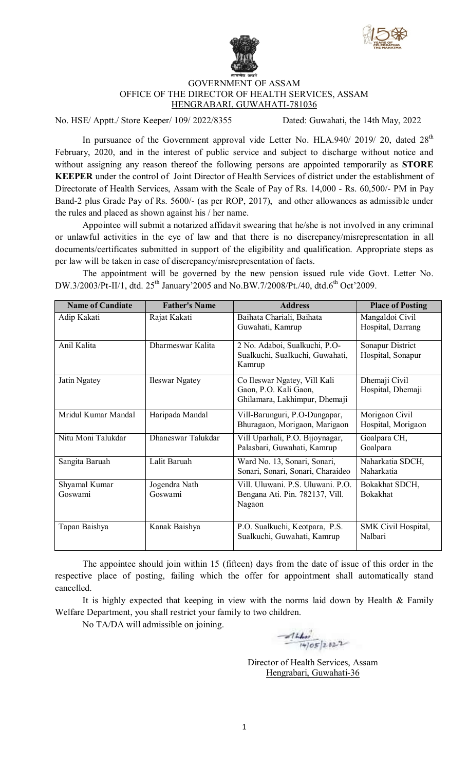



## GOVERNMENT OF ASSAM OFFICE OF THE DIRECTOR OF HEALTH SERVICES, ASSAM HENGRABARI, GUWAHATI-781036

No. HSE/ Apptt./ Store Keeper/ 109/ 2022/8355 Dated: Guwahati, the 14th May, 2022

In pursuance of the Government approval vide Letter No. HLA.940/ 2019/ 20, dated 28<sup>th</sup> February, 2020, and in the interest of public service and subject to discharge without notice and without assigning any reason thereof the following persons are appointed temporarily as **STORE KEEPER** under the control of Joint Director of Health Services of district under the establishment of Directorate of Health Services, Assam with the Scale of Pay of Rs. 14,000 - Rs. 60,500/- PM in Pay Band-2 plus Grade Pay of Rs. 5600/- (as per ROP, 2017), and other allowances as admissible under the rules and placed as shown against his / her name.

Appointee will submit a notarized affidavit swearing that he/she is not involved in any criminal or unlawful activities in the eye of law and that there is no discrepancy/misrepresentation in all documents/certificates submitted in support of the eligibility and qualification. Appropriate steps as per law will be taken in case of discrepancy/misrepresentation of facts.

The appointment will be governed by the new pension issued rule vide Govt. Letter No. DW.3/2003/Pt-II/1, dtd. 25<sup>th</sup> January'2005 and No.BW.7/2008/Pt./40, dtd.6<sup>th</sup> Oct'2009.

| <b>Name of Candiate</b>  | <b>Father's Name</b>     | <b>Address</b>                                                                         | <b>Place of Posting</b>               |
|--------------------------|--------------------------|----------------------------------------------------------------------------------------|---------------------------------------|
| Adip Kakati              | Rajat Kakati             | Baihata Chariali, Baihata<br>Guwahati, Kamrup                                          | Mangaldoi Civil<br>Hospital, Darrang  |
| Anil Kalita              | Dharmeswar Kalita        | 2 No. Adaboi, Sualkuchi, P.O-<br>Sualkuchi, Sualkuchi, Guwahati,<br>Kamrup             | Sonapur District<br>Hospital, Sonapur |
| Jatin Ngatey             | <b>Ileswar Ngatey</b>    | Co Ileswar Ngatey, Vill Kali<br>Gaon, P.O. Kali Gaon,<br>Ghilamara, Lakhimpur, Dhemaji | Dhemaji Civil<br>Hospital, Dhemaji    |
| Mridul Kumar Mandal      | Haripada Mandal          | Vill-Barunguri, P.O-Dungapar,<br>Bhuragaon, Morigaon, Marigaon                         | Morigaon Civil<br>Hospital, Morigaon  |
| Nitu Moni Talukdar       | Dhaneswar Talukdar       | Vill Uparhali, P.O. Bijoynagar,<br>Palasbari, Guwahati, Kamrup                         | Goalpara CH,<br>Goalpara              |
| Sangita Baruah           | Lalit Baruah             | Ward No. 13, Sonari, Sonari,<br>Sonari, Sonari, Sonari, Charaideo                      | Naharkatia SDCH,<br>Naharkatia        |
| Shyamal Kumar<br>Goswami | Jogendra Nath<br>Goswami | Vill. Uluwani. P.S. Uluwani. P.O.<br>Bengana Ati. Pin. 782137, Vill.<br>Nagaon         | Bokakhat SDCH,<br><b>Bokakhat</b>     |
| Tapan Baishya            | Kanak Baishya            | P.O. Sualkuchi, Keotpara, P.S.<br>Sualkuchi, Guwahati, Kamrup                          | <b>SMK Civil Hospital,</b><br>Nalbari |

The appointee should join within 15 (fifteen) days from the date of issue of this order in the respective place of posting, failing which the offer for appointment shall automatically stand cancelled.

It is highly expected that keeping in view with the norms laid down by Health  $\&$  Family Welfare Department, you shall restrict your family to two children.

No TA/DA will admissible on joining.

 $\frac{1}{4005}$  2022

Director of Health Services, Assam Hengrabari, Guwahati-36